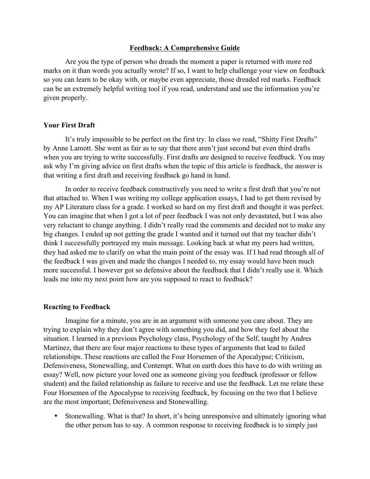## **Feedback: A Comprehensive Guide**

Are you the type of person who dreads the moment a paper is returned with more red marks on it than words you actually wrote? If so, I want to help challenge your view on feedback so you can learn to be okay with, or maybe even appreciate, those dreaded red marks. Feedback can be an extremely helpful writing tool if you read, understand and use the information you're given properly.

# **Your First Draft**

It's truly impossible to be perfect on the first try. In class we read, "Shitty First Drafts" by Anne Lamott. She went as fair as to say that there aren't just second but even third drafts when you are trying to write successfully. First drafts are designed to receive feedback. You may ask why I'm giving advice on first drafts when the topic of this article is feedback, the answer is that writing a first draft and receiving feedback go hand in hand.

In order to receive feedback constructively you need to write a first draft that you're not that attached to. When I was writing my college application essays, I had to get them revised by my AP Literature class for a grade. I worked so hard on my first draft and thought it was perfect. You can imagine that when I got a lot of peer feedback I was not only devastated, but I was also very reluctant to change anything. I didn't really read the comments and decided not to make any big changes. I ended up not getting the grade I wanted and it turned out that my teacher didn't think I successfully portrayed my main message. Looking back at what my peers had written, they had asked me to clarify on what the main point of the essay was. If I had read through all of the feedback I was given and made the changes I needed to, my essay would have been much more successful. I however got so defensive about the feedback that I didn't really use it. Which leads me into my next point how are you supposed to react to feedback?

#### **Reacting to Feedback**

Imagine for a minute, you are in an argument with someone you care about. They are trying to explain why they don't agree with something you did, and how they feel about the situation. I learned in a previous Psychology class, Psychology of the Self, taught by Andres Martinez, that there are four major reactions to these types of arguments that lead to failed relationships. These reactions are called the Four Horsemen of the Apocalypse; Criticism, Defensiveness, Stonewalling, and Contempt. What on earth does this have to do with writing an essay? Well, now picture your loved one as someone giving you feedback (professor or fellow student) and the failed relationship as failure to receive and use the feedback. Let me relate these Four Horsemen of the Apocalypse to receiving feedback, by focusing on the two that I believe are the most important; Defensiveness and Stonewalling.

• Stonewalling. What is that? In short, it's being unresponsive and ultimately ignoring what the other person has to say. A common response to receiving feedback is to simply just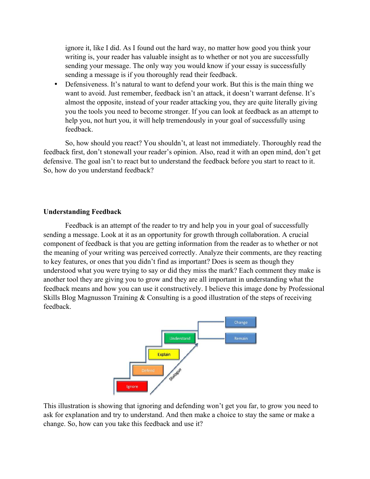ignore it, like I did. As I found out the hard way, no matter how good you think your writing is, your reader has valuable insight as to whether or not you are successfully sending your message. The only way you would know if your essay is successfully sending a message is if you thoroughly read their feedback.

• Defensiveness. It's natural to want to defend your work. But this is the main thing we want to avoid. Just remember, feedback isn't an attack, it doesn't warrant defense. It's almost the opposite, instead of your reader attacking you, they are quite literally giving you the tools you need to become stronger. If you can look at feedback as an attempt to help you, not hurt you, it will help tremendously in your goal of successfully using feedback.

So, how should you react? You shouldn't, at least not immediately. Thoroughly read the feedback first, don't stonewall your reader's opinion. Also, read it with an open mind, don't get defensive. The goal isn't to react but to understand the feedback before you start to react to it. So, how do you understand feedback?

## **Understanding Feedback**

Feedback is an attempt of the reader to try and help you in your goal of successfully sending a message. Look at it as an opportunity for growth through collaboration. A crucial component of feedback is that you are getting information from the reader as to whether or not the meaning of your writing was perceived correctly. Analyze their comments, are they reacting to key features, or ones that you didn't find as important? Does is seem as though they understood what you were trying to say or did they miss the mark? Each comment they make is another tool they are giving you to grow and they are all important in understanding what the feedback means and how you can use it constructively. I believe this image done by Professional Skills Blog Magnusson Training & Consulting is a good illustration of the steps of receiving feedback.



This illustration is showing that ignoring and defending won't get you far, to grow you need to ask for explanation and try to understand. And then make a choice to stay the same or make a change. So, how can you take this feedback and use it?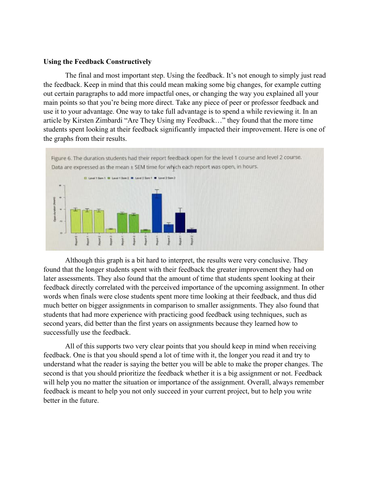## **Using the Feedback Constructively**

The final and most important step. Using the feedback. It's not enough to simply just read the feedback. Keep in mind that this could mean making some big changes, for example cutting out certain paragraphs to add more impactful ones, or changing the way you explained all your main points so that you're being more direct. Take any piece of peer or professor feedback and use it to your advantage. One way to take full advantage is to spend a while reviewing it. In an article by Kirsten Zimbardi "Are They Using my Feedback…" they found that the more time students spent looking at their feedback significantly impacted their improvement. Here is one of the graphs from their results.



Although this graph is a bit hard to interpret, the results were very conclusive. They found that the longer students spent with their feedback the greater improvement they had on later assessments. They also found that the amount of time that students spent looking at their feedback directly correlated with the perceived importance of the upcoming assignment. In other words when finals were close students spent more time looking at their feedback, and thus did much better on bigger assignments in comparison to smaller assignments. They also found that students that had more experience with practicing good feedback using techniques, such as second years, did better than the first years on assignments because they learned how to successfully use the feedback.

All of this supports two very clear points that you should keep in mind when receiving feedback. One is that you should spend a lot of time with it, the longer you read it and try to understand what the reader is saying the better you will be able to make the proper changes. The second is that you should prioritize the feedback whether it is a big assignment or not. Feedback will help you no matter the situation or importance of the assignment. Overall, always remember feedback is meant to help you not only succeed in your current project, but to help you write better in the future.